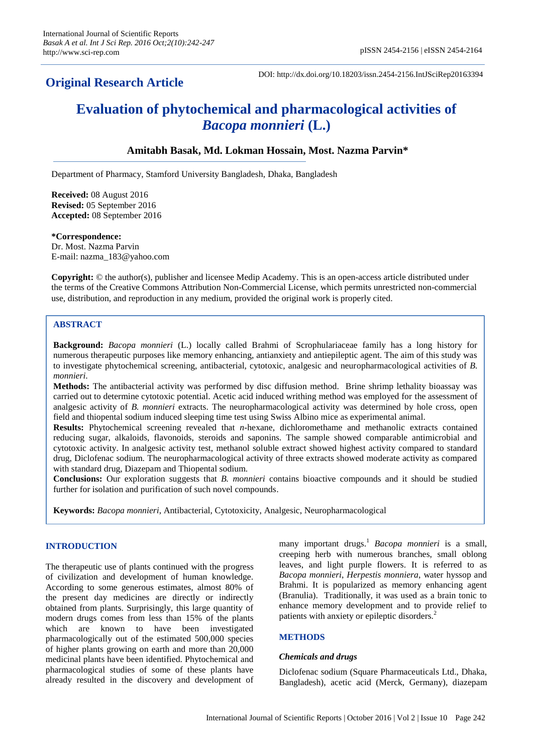# **Original Research Article**

DOI: http://dx.doi.org/10.18203/issn.2454-2156.IntJSciRep20163394

# **Evaluation of phytochemical and pharmacological activities of**  *Bacopa monnieri* **(L.)**

# **Amitabh Basak, Md. Lokman Hossain, Most. Nazma Parvin\***

Department of Pharmacy, Stamford University Bangladesh, Dhaka, Bangladesh

**Received:** 08 August 2016 **Revised:** 05 September 2016 **Accepted:** 08 September 2016

#### **\*Correspondence:**

Dr. Most. Nazma Parvin E-mail: nazma\_183@yahoo.com

**Copyright:** © the author(s), publisher and licensee Medip Academy. This is an open-access article distributed under the terms of the Creative Commons Attribution Non-Commercial License, which permits unrestricted non-commercial use, distribution, and reproduction in any medium, provided the original work is properly cited.

# **ABSTRACT**

**Background:** *Bacopa monnieri* (L.) locally called Brahmi of Scrophulariaceae family has a long history for numerous therapeutic purposes like memory enhancing, antianxiety and antiepileptic agent. The aim of this study was to investigate phytochemical screening, antibacterial, cytotoxic, analgesic and neuropharmacological activities of *B. monnieri*.

**Methods:** The antibacterial activity was performed by disc diffusion method. Brine shrimp lethality bioassay was carried out to determine cytotoxic potential. Acetic acid induced writhing method was employed for the assessment of analgesic activity of *B. monnieri* extracts. The neuropharmacological activity was determined by hole cross, open field and thiopental sodium induced sleeping time test using Swiss Albino mice as experimental animal.

**Results:** Phytochemical screening revealed that *n-*hexane, dichloromethame and methanolic extracts contained reducing sugar, alkaloids, flavonoids, steroids and saponins. The sample showed comparable antimicrobial and cytotoxic activity. In analgesic activity test, methanol soluble extract showed highest activity compared to standard drug, Diclofenac sodium. The neuropharmacological activity of three extracts showed moderate activity as compared with standard drug, Diazepam and Thiopental sodium.

**Conclusions:** Our exploration suggests that *B. monnieri* contains bioactive compounds and it should be studied further for isolation and purification of such novel compounds.

**Keywords:** *Bacopa monnieri*, Antibacterial, Cytotoxicity, Analgesic, Neuropharmacological

# **INTRODUCTION**

The therapeutic use of plants continued with the progress of civilization and development of human knowledge. According to some generous estimates, almost 80% of the present day medicines are directly or indirectly obtained from plants. Surprisingly, this large quantity of modern drugs comes from less than 15% of the plants which are known to have been investigated pharmacologically out of the estimated 500,000 species of higher plants growing on earth and more than 20,000 medicinal plants have been identified. Phytochemical and pharmacological studies of some of these plants have already resulted in the discovery and development of

many important drugs. <sup>1</sup> *Bacopa monnieri* is a small, creeping herb with numerous branches, small oblong leaves, and light purple flowers. It is referred to as *Bacopa monnieri*, *Herpestis monniera*, water hyssop and Brahmi. It is popularized as memory enhancing agent (Branulia). Traditionally, it was used as a brain tonic to enhance memory development and to provide relief to patients with anxiety or epileptic disorders.<sup>2</sup>

#### **METHODS**

#### *Chemicals and drugs*

Diclofenac sodium (Square Pharmaceuticals Ltd., Dhaka, Bangladesh), acetic acid (Merck, Germany), diazepam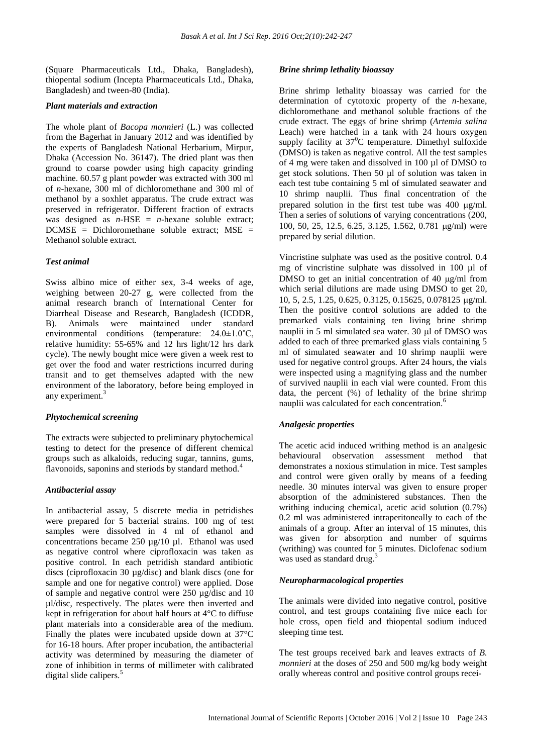(Square Pharmaceuticals Ltd., Dhaka, Bangladesh), thiopental sodium (Incepta Pharmaceuticals Ltd., Dhaka, Bangladesh) and tween-80 (India).

### *Plant materials and extraction*

The whole plant of *Bacopa monnieri* (L.) was collected from the Bagerhat in January 2012 and was identified by the experts of Bangladesh National Herbarium, Mirpur, Dhaka (Accession No. 36147). The dried plant was then ground to coarse powder using high capacity grinding machine. 60.57 g plant powder was extracted with 300 ml of *n-*hexane, 300 ml of dichloromethane and 300 ml of methanol by a soxhlet apparatus. The crude extract was preserved in refrigerator. Different fraction of extracts was designed as  $n$ -HSE =  $n$ -hexane soluble extract; DCMSE = Dichloromethane soluble extract; MSE = Methanol soluble extract.

## *Test animal*

Swiss albino mice of either sex, 3-4 weeks of age, weighing between 20-27 g, were collected from the animal research branch of International Center for Diarrheal Disease and Research, Bangladesh (ICDDR, B). Animals were maintained under standard environmental conditions (temperature: 24.0±1.0˚C, relative humidity: 55-65% and 12 hrs light/12 hrs dark cycle). The newly bought mice were given a week rest to get over the food and water restrictions incurred during transit and to get themselves adapted with the new environment of the laboratory, before being employed in any experiment.<sup>3</sup>

#### *Phytochemical screening*

The extracts were subjected to preliminary phytochemical testing to detect for the presence of different chemical groups such as alkaloids, reducing sugar, tannins, gums, flavonoids, saponins and steriods by standard method.<sup>4</sup>

#### *Antibacterial assay*

In antibacterial assay, 5 discrete media in petridishes were prepared for 5 bacterial strains. 100 mg of test samples were dissolved in 4 ml of ethanol and concentrations became 250 µg/10 µl. Ethanol was used as negative control where ciprofloxacin was taken as positive control. In each petridish standard antibiotic discs (ciprofloxacin 30 µg/disc) and blank discs (one for sample and one for negative control) were applied. Dose of sample and negative control were 250 µg/disc and 10 µl/disc, respectively. The plates were then inverted and kept in refrigeration for about half hours at 4°C to diffuse plant materials into a considerable area of the medium. Finally the plates were incubated upside down at 37°C for 16-18 hours. After proper incubation, the antibacterial activity was determined by measuring the diameter of zone of inhibition in terms of millimeter with calibrated digital slide calipers. $5$ 

#### *Brine shrimp lethality bioassay*

Brine shrimp lethality bioassay was carried for the determination of cytotoxic property of the *n-*hexane, dichloromethane and methanol soluble fractions of the crude extract. The eggs of brine shrimp (*Artemia salina*  Leach) were hatched in a tank with 24 hours oxygen supply facility at  $37^0C$  temperature. Dimethyl sulfoxide (DMSO) is taken as negative control. All the test samples of 4 mg were taken and dissolved in 100 µl of DMSO to get stock solutions. Then 50 µl of solution was taken in each test tube containing 5 ml of simulated seawater and 10 shrimp nauplii. Thus final concentration of the prepared solution in the first test tube was  $400 \mu g/ml$ . Then a series of solutions of varying concentrations (200, 100, 50, 25, 12.5, 6.25, 3.125, 1.562, 0.781 µg/ml) were prepared by serial dilution.

Vincristine sulphate was used as the positive control. 0.4 mg of vincristine sulphate was dissolved in 100 µl of DMSO to get an initial concentration of 40  $\mu$ g/ml from which serial dilutions are made using DMSO to get 20, 10, 5, 2.5, 1.25, 0.625, 0.3125, 0.15625, 0.078125 g/ml. Then the positive control solutions are added to the premarked vials containing ten living brine shrimp nauplii in 5 ml simulated sea water. 30 µl of DMSO was added to each of three premarked glass vials containing 5 ml of simulated seawater and 10 shrimp nauplii were used for negative control groups. After 24 hours, the vials were inspected using a magnifying glass and the number of survived nauplii in each vial were counted. From this data, the percent (%) of lethality of the brine shrimp nauplii was calculated for each concentration.<sup>6</sup>

#### *Analgesic properties*

The acetic acid induced writhing method is an analgesic behavioural observation assessment method that demonstrates a noxious stimulation in mice. Test samples and control were given orally by means of a feeding needle. 30 minutes interval was given to ensure proper absorption of the administered substances. Then the writhing inducing chemical, acetic acid solution (0.7%) 0.2 ml was administered intraperitoneally to each of the animals of a group. After an interval of 15 minutes, this was given for absorption and number of squirms (writhing) was counted for 5 minutes. Diclofenac sodium was used as standard drug.<sup>3</sup>

#### *Neuropharmacological properties*

The animals were divided into negative control, positive control, and test groups containing five mice each for hole cross, open field and thiopental sodium induced sleeping time test.

The test groups received bark and leaves extracts of *B. monnieri* at the doses of 250 and 500 mg/kg body weight orally whereas control and positive control groups recei-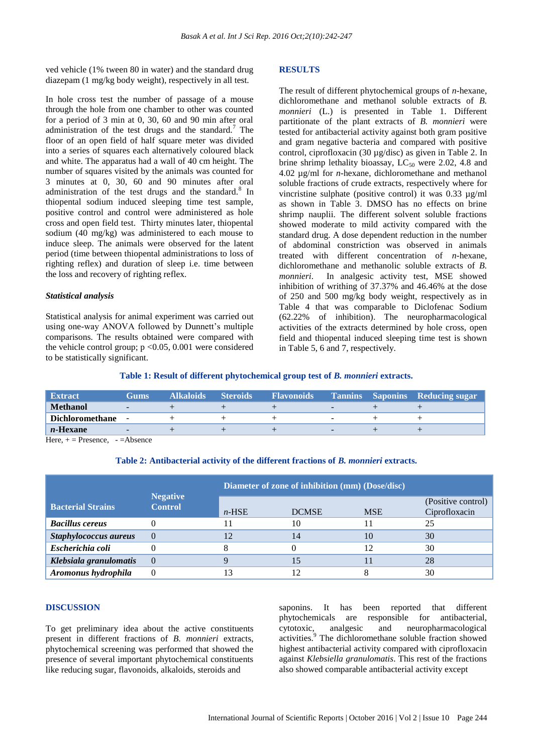ved vehicle (1% tween 80 in water) and the standard drug diazepam (1 mg/kg body weight), respectively in all test.

In hole cross test the number of passage of a mouse through the hole from one chamber to other was counted for a period of 3 min at 0, 30, 60 and 90 min after oral administration of the test drugs and the standard.<sup>7</sup> The floor of an open field of half square meter was divided into a series of squares each alternatively coloured black and white. The apparatus had a wall of 40 cm height. The number of squares visited by the animals was counted for 3 minutes at 0, 30, 60 and 90 minutes after oral administration of the test drugs and the standard.<sup>8</sup> In thiopental sodium induced sleeping time test sample, positive control and control were administered as hole cross and open field test. Thirty minutes later, thiopental sodium (40 mg/kg) was administered to each mouse to induce sleep. The animals were observed for the latent period (time between thiopental administrations to loss of righting reflex) and duration of sleep i.e. time between the loss and recovery of righting reflex.

#### *Statistical analysis*

Statistical analysis for animal experiment was carried out using one-way ANOVA followed by Dunnett's multiple comparisons. The results obtained were compared with the vehicle control group; p <0.05, 0.001 were considered to be statistically significant.

#### **RESULTS**

The result of different phytochemical groups of *n*-hexane, dichloromethane and methanol soluble extracts of *B. monnieri* (L.) is presented in Table 1. Different partitionate of the plant extracts of *B. monnieri* were tested for antibacterial activity against both gram positive and gram negative bacteria and compared with positive control, ciprofloxacin (30 µg/disc) as given in Table 2. In brine shrimp lethality bioassay,  $LC_{50}$  were 2.02, 4.8 and 4.02 µg/ml for *n-*hexane, dichloromethane and methanol soluble fractions of crude extracts, respectively where for vincristine sulphate (positive control) it was 0.33 µg/ml as shown in Table 3. DMSO has no effects on brine shrimp nauplii. The different solvent soluble fractions showed moderate to mild activity compared with the standard drug. A dose dependent reduction in the number of abdominal constriction was observed in animals treated with different concentration of *n*-hexane, dichloromethane and methanolic soluble extracts of *B. monnieri*. In analgesic activity test, MSE showed inhibition of writhing of 37.37% and 46.46% at the dose of 250 and 500 mg/kg body weight, respectively as in Table 4 that was comparable to Diclofenac Sodium (62.22% of inhibition). The neuropharmacological activities of the extracts determined by hole cross, open field and thiopental induced sleeping time test is shown in Table 5, 6 and 7, respectively.

#### **Table 1: Result of different phytochemical group test of** *B. monnieri* **extracts.**

| <b>Extract</b>  | <b>Gums</b>              | <b>Alkaloids</b> | <b>Steroids</b> | <b>Flavonoids</b> | <b>Tannins</b>           | Saponins Reducing sugar |
|-----------------|--------------------------|------------------|-----------------|-------------------|--------------------------|-------------------------|
| Methanol        | $\overline{\phantom{0}}$ |                  |                 |                   | $\overline{\phantom{0}}$ |                         |
| Dichloromethane |                          |                  |                 |                   |                          |                         |
| $n$ -Hexane     |                          |                  |                 |                   |                          |                         |
| $ -$<br>$\sim$  | . .                      |                  |                 |                   |                          |                         |

Here,  $+$  = Presence,  $-$  = Absence

### **Table 2: Antibacterial activity of the different fractions of** *B. monnieri* **extracts.**

|                          |                                   | Diameter of zone of inhibition (mm) (Dose/disc) |              |            |                                     |  |  |  |
|--------------------------|-----------------------------------|-------------------------------------------------|--------------|------------|-------------------------------------|--|--|--|
| <b>Bacterial Strains</b> | <b>Negative</b><br><b>Control</b> | $n$ -HSE                                        | <b>DCMSE</b> | <b>MSE</b> | (Positive control)<br>Ciprofloxacin |  |  |  |
| <b>Bacillus cereus</b>   |                                   |                                                 | 10           |            | 25                                  |  |  |  |
| Staphylococcus aureus    |                                   | 12                                              | 14           | 10         | 30                                  |  |  |  |
| Escherichia coli         |                                   |                                                 |              | 12         | 30                                  |  |  |  |
| Klebsiala granulomatis   |                                   |                                                 | 15           |            | 28                                  |  |  |  |
| Aromonus hydrophila      |                                   | 13                                              |              |            | 30                                  |  |  |  |

#### **DISCUSSION**

To get preliminary idea about the active constituents present in different fractions of *B. monnieri* extracts, phytochemical screening was performed that showed the presence of several important phytochemical constituents like reducing sugar, flavonoids, alkaloids, steroids and

saponins. It has been reported that different phytochemicals are responsible for antibacterial, cytotoxic, analgesic and neuropharmacological activities.<sup>9</sup> The dichloromethane soluble fraction showed highest antibacterial activity compared with ciprofloxacin against *Klebsiella granulomatis*. This rest of the fractions also showed comparable antibacterial activity except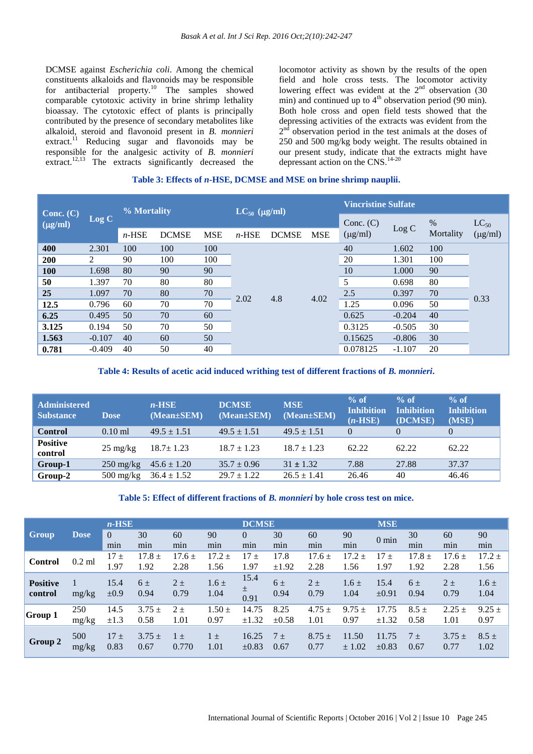DCMSE against *Escherichia coli*. Among the chemical constituents alkaloids and flavonoids may be responsible for antibacterial property.<sup>10</sup> The samples showed comparable cytotoxic activity in brine shrimp lethality bioassay. The cytotoxic effect of plants is principally contributed by the presence of secondary metabolites like alkaloid, steroid and flavonoid present in *B. monnieri*  extract.<sup>11</sup> Reducing sugar and flavonoids may be responsible for the analgesic activity of *B. monnieri* extract.<sup>12,13</sup> The extracts significantly decreased the

locomotor activity as shown by the results of the open field and hole cross tests. The locomotor activity lowering effect was evident at the  $2<sup>nd</sup>$  observation (30) min) and continued up to  $4<sup>th</sup>$  observation period (90 min). Both hole cross and open field tests showed that the depressing activities of the extracts was evident from the  $2<sup>nd</sup>$  observation period in the test animals at the doses of 250 and 500 mg/kg body weight. The results obtained in our present study, indicate that the extracts might have depressant action on the CNS. 14-20

#### **Table 3: Effects of** *n***-HSE, DCMSE and MSE on brine shrimp nauplii.**

|                             |          | % Mortality |              |            | $LC_{50}$ (µg/ml) |              |            | <b>Vincristine Sulfate</b> |          |           |              |  |
|-----------------------------|----------|-------------|--------------|------------|-------------------|--------------|------------|----------------------------|----------|-----------|--------------|--|
| Conc. $(C)$<br>$(\mu g/ml)$ | Log C    |             |              |            |                   |              |            | Conc. $(C)$                | Log C    | %         | $LC_{50}$    |  |
|                             |          | $n$ -HSE    | <b>DCMSE</b> | <b>MSE</b> | $n$ -HSE          | <b>DCMSE</b> | <b>MSE</b> | $(\mu g/ml)$               |          | Mortality | $(\mu g/ml)$ |  |
| 400                         | 2.301    | 100         | 100          | 100        |                   | 4.8<br>2.02  | 4.02       | 40                         | 1.602    | 100       |              |  |
| 200                         | 2        | 90          | 100          | 100        |                   |              |            | 20                         | 1.301    | 100       |              |  |
| <b>100</b>                  | 1.698    | 80          | 90           | 90         |                   |              |            | 10                         | 1.000    | 90        |              |  |
| 50                          | 1.397    | 70          | 80           | 80         |                   |              |            | 5                          | 0.698    | 80        |              |  |
| 25                          | 1.097    | 70          | 80           | 70         |                   |              |            | 2.5                        | 0.397    | 70        | 0.33         |  |
| 12.5                        | 0.796    | 60          | 70           | 70         |                   |              |            | 1.25                       | 0.096    | 50        |              |  |
| 6.25                        | 0.495    | 50          | 70           | 60         |                   |              |            | 0.625                      | $-0.204$ | 40        |              |  |
| 3.125                       | 0.194    | 50          | 70           | 50         |                   |              |            | 0.3125                     | $-0.505$ | 30        |              |  |
| 1.563                       | $-0.107$ | 40          | 60           | 50         |                   |              |            | 0.15625                    | $-0.806$ | 30        |              |  |
| 0.781                       | $-0.409$ | 40          | 50           | 40         |                   |              |            | 0.078125                   | $-1.107$ | 20        |              |  |

### **Table 4: Results of acetic acid induced writhing test of different fractions of** *B. monnieri***.**

| <b>Administered</b><br><b>Substance</b> | <b>Dose</b>         | $n$ -HSE<br>$(Mean \pm SEM)$ | <b>DCMSE</b><br>(Mean±SEM) | <b>MSE</b><br>$(Mean \pm SEM)$ | $%$ of<br><b>Inhibition</b><br>$(n-HSE)$ | $\%$ of<br><b>Inhibition</b><br>(DCMSE) | $%$ of<br><b>Inhibition</b><br>(MSE) |
|-----------------------------------------|---------------------|------------------------------|----------------------------|--------------------------------|------------------------------------------|-----------------------------------------|--------------------------------------|
| <b>Control</b>                          | $0.10$ ml           | $49.5 \pm 1.51$              | $49.5 \pm 1.51$            | $49.5 \pm 1.51$                | $\Omega$                                 | $\Omega$                                |                                      |
| <b>Positive</b><br>control              | $25 \text{ mg/kg}$  | $18.7 \pm 1.23$              | $18.7 \pm 1.23$            | $18.7 \pm 1.23$                | 62.22                                    | 62.22                                   | 62.22                                |
| Group-1                                 | $250 \text{ mg/kg}$ | $45.6 \pm 1.20$              | $35.7 \pm 0.96$            | $31 \pm 1.32$                  | 7.88                                     | 27.88                                   | 37.37                                |
| Group-2                                 | $500 \text{ mg/kg}$ | $36.4 \pm 1.52$              | $29.7 \pm 1.22$            | $26.5 \pm 1.41$                | 26.46                                    | 40                                      | 46.46                                |

#### **Table 5: Effect of different fractions of** *B. monnieri* **by hole cross test on mice.**

|                 |             | $n$ -HSE     |            |            |            |            | <b>DCMSE</b>   |            |            |                 | <b>MSE</b> |            |            |  |
|-----------------|-------------|--------------|------------|------------|------------|------------|----------------|------------|------------|-----------------|------------|------------|------------|--|
| <b>Group</b>    | <b>Dose</b> | $\mathbf{0}$ | 30         | 60         | 90         | $\Omega$   | 30             | 60         | 90         | $0 \text{ min}$ | 30         | 60         | 90         |  |
|                 |             | min          | min        | min        | min        | min        | min            | min        | min        |                 | min        | min        | min        |  |
| <b>Control</b>  | $0.2$ ml    | $17 \pm$     | $17.8 \pm$ | $17.6 \pm$ | $17.2 \pm$ | $17 \pm$   | 17.8           | $17.6 \pm$ | $17.2 \pm$ | 17±             | $17.8 \pm$ | $17.6 \pm$ | $17.2 \pm$ |  |
|                 |             | 1.97         | 1.92       | 2.28       | 1.56       | 1.97       | ±1.92          | 2.28       | 1.56       | 1.97            | 1.92       | 2.28       | 1.56       |  |
| <b>Positive</b> |             | 15.4         | 6±         | $2\pm$     | $1.6 \pm$  | 15.4       | $6\pm$         | $2\pm$     | $1.6 \pm$  | 15.4            | $6\pm$     | $2 \pm$    | $1.6 \pm$  |  |
| control         | mg/kg       | ±0.9         | 0.94       | 0.79       | 1.04       | 土          | 0.94           | 0.79       | 1.04       | $\pm 0.91$      | 0.94       | 0.79       | 1.04       |  |
|                 |             |              |            |            |            | 0.91       |                |            |            |                 |            |            |            |  |
| Group 1         | 250         | 14.5         | $3.75 \pm$ | $2+$       | $1.50 \pm$ | 14.75      | 8.25           | $4.75 +$   | $9.75 \pm$ | 17.75           | $8.5 \pm$  | $2.25 \pm$ | $9.25 \pm$ |  |
|                 | mg/kg       | $\pm 1.3$    | 0.58       | 1.01       | 0.97       | $\pm 1.32$ | $\pm 0.58$     | 1.01       | 0.97       | $\pm 1.32$      | 0.58       | 1.01       | 0.97       |  |
|                 | 500         | $17 \pm$     | $3.75 +$   | $\pm$      | $1 \pm$    | 16.25      | 7 <sub>±</sub> | $8.75 \pm$ | 11.50      | 11.75           | $7 \pm$    | $3.75 \pm$ | $8.5 \pm$  |  |
| Group 2         | mg/kg       | 0.83         | 0.67       | 0.770      | 1.01       | $\pm 0.83$ | 0.67           | 0.77       | ± 1.02     | $\pm 0.83$      | 0.67       | 0.77       | 1.02       |  |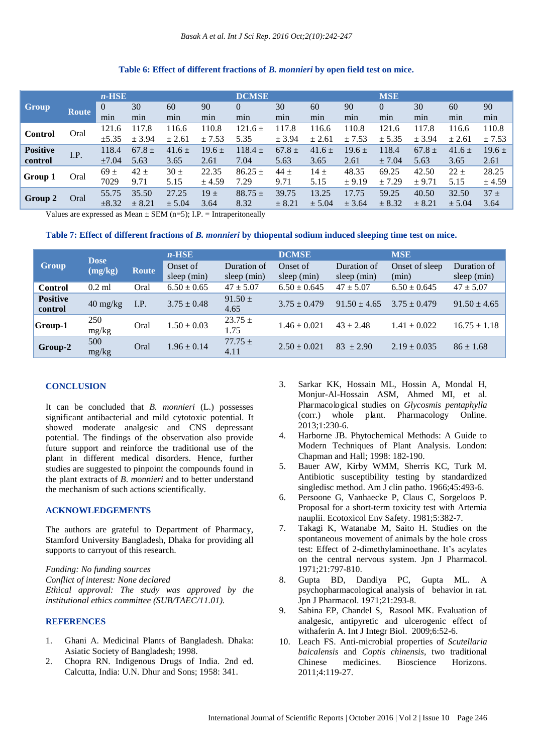#### **Group Route** *n-***HSE DCMSE MSE**  $\Omega$ min 30 min 60 min 90 min  $\Omega$ min 30 min 60 min 90 min  $\Omega$ min 30 min 60 min  $90$ min **Control** Oral  $\begin{bmatrix} 121.6 \\ -22 \end{bmatrix}$  $±5.35$ 117.8 ± 3.94 116.6  $± 2.61$ 110.8  $± 7.53$  $121.6 \pm$ 5.35 117.8  $± 3.94$ 116.6  $± 2.61$ 110.8  $+7.53$ 121.6  $+ 5.35$ 117.8 ± 3.94 116.6  $+ 2.61$ 110.8  $± 7.53$ **Positive Positive** I.P.  $\begin{array}{c} 118.4 \\ \pm 7.04 \end{array}$ ±7.04 67.8  $\pm$ 5.63 41.6  $\pm$ 3.65  $19.6 \pm$ 2.61  $118.4 \pm$ 7.04 67.8  $\pm$ 5.63 41.6  $\pm$ 3.65  $19.6 \pm$ 2.61 118.4  $± 7.04$ 67.8  $\pm$ 5.63  $41.6 \pm$ 3.65  $19.6 \pm$ 2.61 **Group 1** Oral  $\frac{69 \pm 1}{2000}$ 7029  $\frac{42}{ }$ 9.71  $\overline{30 \pm}$ 5.15 22.35  $+4.59$  $86.25 \pm$ 7.29  $\overline{44}$   $\pm$ 9.71  $\frac{14}{ }$ 5.15 48.35  $+9.19$ 69.25  $+7.29$ 42.50  $+9.71$  $\frac{22}{ }$ 5.15 28.25  $+4.59$ **Group 2** Oral 55.75 ±8.32 35.50 ± 8.21 27.25  $± 5.04$  $19 +$ 3.64  $88.75 +$ 8.32 39.75  $± 8.21$ 13.25  $± 5.04$ 17.75  $± 3.64$ 59.25  $± 8.32$ 40.50 ± 8.21 32.50  $± 5.04$  $37 +$ 3.64

# **Table 6: Effect of different fractions of** *B. monnieri* **by open field test on mice.**

Values are expressed as Mean  $\pm$  SEM (n=5); I.P. = Intraperitoneally

| Table 7: Effect of different fractions of B. monnieri by thiopental sodium induced sleeping time test on mice. |  |  |
|----------------------------------------------------------------------------------------------------------------|--|--|
|                                                                                                                |  |  |

|                            | <b>Dose</b>                      |       | $n$ -HSE                |                            | <b>DCMSE</b>            |                            | <b>MSE</b>              |                              |  |
|----------------------------|----------------------------------|-------|-------------------------|----------------------------|-------------------------|----------------------------|-------------------------|------------------------------|--|
| <b>Group</b>               | (mg/kg)                          | Route | Onset of<br>sleep (min) | Duration of<br>sleep (min) | Onset of<br>sleep (min) | Duration of<br>sleep (min) | Onset of sleep<br>(min) | Duration of<br>sleep $(min)$ |  |
| <b>Control</b>             | $0.2$ ml                         | Oral  | $6.50 \pm 0.65$         | $47 \pm 5.07$              | $6.50 \pm 0.645$        | $47 \pm 5.07$              | $6.50 \pm 0.645$        | $47 \pm 5.07$                |  |
| <b>Positive</b><br>control | $40 \frac{\text{mg}}{\text{kg}}$ | I.P.  | $3.75 \pm 0.48$         | $91.50 \pm$<br>4.65        | $3.75 \pm 0.479$        | $91.50 \pm 4.65$           | $3.75 \pm 0.479$        | $91.50 \pm 4.65$             |  |
| <b>Group-1</b>             | 250<br>mg/kg                     | Oral  | $1.50 \pm 0.03$         | $23.75 \pm$<br>1.75        | $1.46 \pm 0.021$        | $43 \pm 2.48$              | $1.41 \pm 0.022$        | $16.75 \pm 1.18$             |  |
| Group-2                    | 500<br>mg/kg                     | Oral  | $1.96 \pm 0.14$         | $77.75 \pm$<br>4.11        | $2.50 \pm 0.021$        | $83 + 2.90$                | $2.19 \pm 0.035$        | $86 \pm 1.68$                |  |

# **CONCLUSION**

It can be concluded that *B. monnieri* (L.) possesses significant antibacterial and mild cytotoxic potential. It showed moderate analgesic and CNS depressant potential. The findings of the observation also provide future support and reinforce the traditional use of the plant in different medical disorders. Hence, further studies are suggested to pinpoint the compounds found in the plant extracts of *B*. *monnieri* and to better understand the mechanism of such actions scientifically.

# **ACKNOWLEDGEMENTS**

The authors are grateful to Department of Pharmacy, Stamford University Bangladesh, Dhaka for providing all supports to carryout of this research.

*Funding: No funding sources Conflict of interest: None declared Ethical approval: The study was approved by the institutional ethics committee (SUB/TAEC/11.01).*

# **REFERENCES**

- 1. Ghani A. Medicinal Plants of Bangladesh. Dhaka: Asiatic Society of Bangladesh; 1998.
- 2. Chopra RN. Indigenous Drugs of India. 2nd ed. Calcutta, India: U.N. Dhur and Sons; 1958: 341.
- 3. Sarkar KK, Hossain ML, Hossin A, Mondal H, Monjur-Al-Hossain ASM, Ahmed MI, et al. Pharmacological studies on *Glycosmis pentaphylla* (corr.) whole plant. Pharmacology Online. 2013;1:230-6.
- 4. Harborne JB. Phytochemical Methods: A Guide to Modern Techniques of Plant Analysis. London: Chapman and Hall; 1998: 182-190.
- 5. Bauer AW, Kirby WMM, Sherris KC, Turk M. Antibiotic susceptibility testing by standardized singledisc method. Am J clin patho. 1966;45:493-6.
- 6. Persoone G, Vanhaecke P, Claus C, Sorgeloos P. Proposal for a short-term toxicity test with Artemia nauplii. Ecotoxicol Env Safety. 1981;5:382-7.
- 7. Takagi K, Watanabe M, Saito H. Studies on the spontaneous movement of animals by the hole cross test: Effect of 2-dimethylaminoethane. It's acylates on the central nervous system. Jpn J Pharmacol. 1971;21:797-810.
- 8. Gupta BD, Dandiya PC, Gupta ML. A psychopharmacological analysis of behavior in rat. Jpn J Pharmacol. 1971;21:293-8.
- 9. Sabina EP, Chandel S, Rasool MK. Evaluation of analgesic, antipyretic and ulcerogenic effect of withaferin A. Int J Integr Biol. 2009;6:52-6.
- 10. Leach FS. Anti-microbial properties of *Scutellaria baicalensis* and *Coptis chinensis*, two traditional Chinese medicines. Bioscience Horizons. 2011;4:119-27.